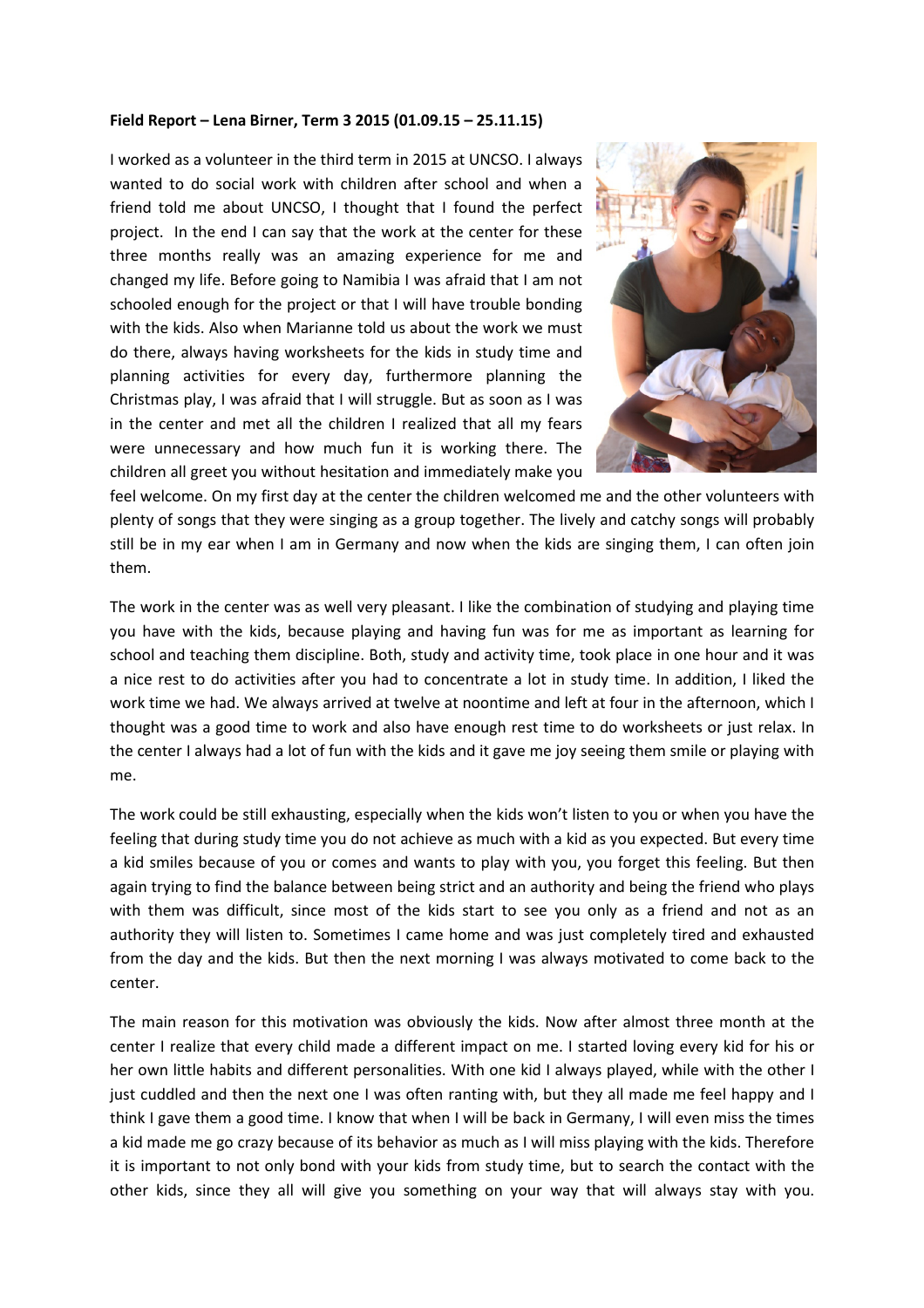## **Field Report – Lena Birner, Term 3 2015 (01.09.15 – 25.11.15)**

I worked as a volunteer in the third term in 2015 at UNCSO. I always wanted to do social work with children after school and when a friend told me about UNCSO, I thought that I found the perfect project. In the end I can say that the work at the center for these three months really was an amazing experience for me and changed my life. Before going to Namibia I was afraid that I am not schooled enough for the project or that I will have trouble bonding with the kids. Also when Marianne told us about the work we must do there, always having worksheets for the kids in study time and planning activities for every day, furthermore planning the Christmas play, I was afraid that I will struggle. But as soon as I was in the center and met all the children I realized that all my fears were unnecessary and how much fun it is working there. The children all greet you without hesitation and immediately make you



feel welcome. On my first day at the center the children welcomed me and the other volunteers with plenty of songs that they were singing as a group together. The lively and catchy songs will probably still be in my ear when I am in Germany and now when the kids are singing them, I can often join them.

The work in the center was as well very pleasant. I like the combination of studying and playing time you have with the kids, because playing and having fun was for me as important as learning for school and teaching them discipline. Both, study and activity time, took place in one hour and it was a nice rest to do activities after you had to concentrate a lot in study time. In addition, I liked the work time we had. We always arrived at twelve at noontime and left at four in the afternoon, which I thought was a good time to work and also have enough rest time to do worksheets or just relax. In the center I always had a lot of fun with the kids and it gave me joy seeing them smile or playing with me.

The work could be still exhausting, especially when the kids won't listen to you or when you have the feeling that during study time you do not achieve as much with a kid as you expected. But every time a kid smiles because of you or comes and wants to play with you, you forget this feeling. But then again trying to find the balance between being strict and an authority and being the friend who plays with them was difficult, since most of the kids start to see you only as a friend and not as an authority they will listen to. Sometimes I came home and was just completely tired and exhausted from the day and the kids. But then the next morning I was always motivated to come back to the center.

The main reason for this motivation was obviously the kids. Now after almost three month at the center I realize that every child made a different impact on me. I started loving every kid for his or her own little habits and different personalities. With one kid I always played, while with the other I just cuddled and then the next one I was often ranting with, but they all made me feel happy and I think I gave them a good time. I know that when I will be back in Germany, I will even miss the times a kid made me go crazy because of its behavior as much as I will miss playing with the kids. Therefore it is important to not only bond with your kids from study time, but to search the contact with the other kids, since they all will give you something on your way that will always stay with you.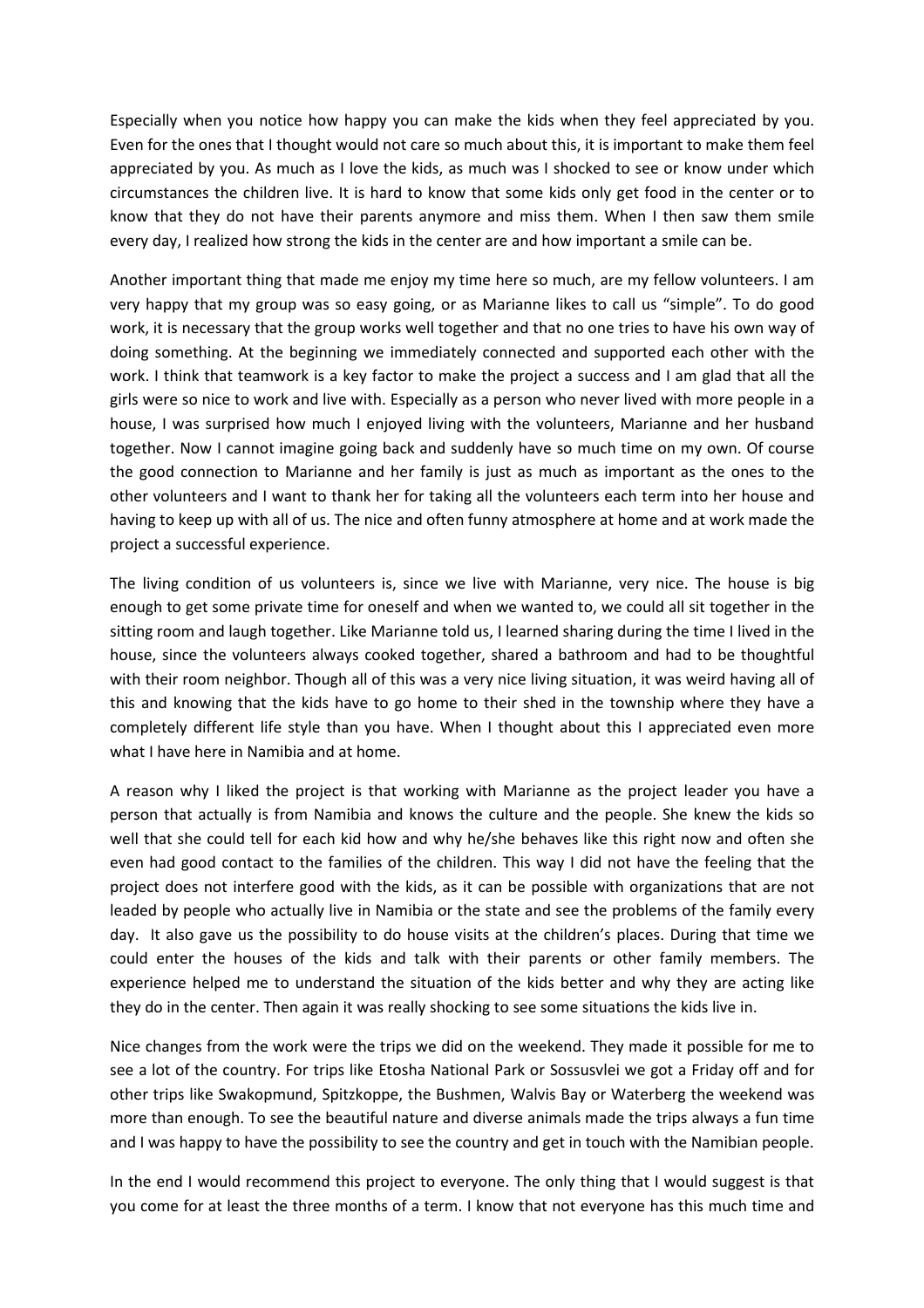Especially when you notice how happy you can make the kids when they feel appreciated by you. Even for the ones that I thought would not care so much about this, it is important to make them feel appreciated by you. As much as I love the kids, as much was I shocked to see or know under which circumstances the children live. It is hard to know that some kids only get food in the center or to know that they do not have their parents anymore and miss them. When I then saw them smile every day, I realized how strong the kids in the center are and how important a smile can be.

Another important thing that made me enjoy my time here so much, are my fellow volunteers. I am very happy that my group was so easy going, or as Marianne likes to call us "simple". To do good work, it is necessary that the group works well together and that no one tries to have his own way of doing something. At the beginning we immediately connected and supported each other with the work. I think that teamwork is a key factor to make the project a success and I am glad that all the girls were so nice to work and live with. Especially as a person who never lived with more people in a house, I was surprised how much I enjoyed living with the volunteers, Marianne and her husband together. Now I cannot imagine going back and suddenly have so much time on my own. Of course the good connection to Marianne and her family is just as much as important as the ones to the other volunteers and I want to thank her for taking all the volunteers each term into her house and having to keep up with all of us. The nice and often funny atmosphere at home and at work made the project a successful experience.

The living condition of us volunteers is, since we live with Marianne, very nice. The house is big enough to get some private time for oneself and when we wanted to, we could all sit together in the sitting room and laugh together. Like Marianne told us, I learned sharing during the time I lived in the house, since the volunteers always cooked together, shared a bathroom and had to be thoughtful with their room neighbor. Though all of this was a very nice living situation, it was weird having all of this and knowing that the kids have to go home to their shed in the township where they have a completely different life style than you have. When I thought about this I appreciated even more what I have here in Namibia and at home.

A reason why I liked the project is that working with Marianne as the project leader you have a person that actually is from Namibia and knows the culture and the people. She knew the kids so well that she could tell for each kid how and why he/she behaves like this right now and often she even had good contact to the families of the children. This way I did not have the feeling that the project does not interfere good with the kids, as it can be possible with organizations that are not leaded by people who actually live in Namibia or the state and see the problems of the family every day. It also gave us the possibility to do house visits at the children's places. During that time we could enter the houses of the kids and talk with their parents or other family members. The experience helped me to understand the situation of the kids better and why they are acting like they do in the center. Then again it was really shocking to see some situations the kids live in.

Nice changes from the work were the trips we did on the weekend. They made it possible for me to see a lot of the country. For trips like Etosha National Park or Sossusvlei we got a Friday off and for other trips like Swakopmund, Spitzkoppe, the Bushmen, Walvis Bay or Waterberg the weekend was more than enough. To see the beautiful nature and diverse animals made the trips always a fun time and I was happy to have the possibility to see the country and get in touch with the Namibian people.

In the end I would recommend this project to everyone. The only thing that I would suggest is that you come for at least the three months of a term. I know that not everyone has this much time and